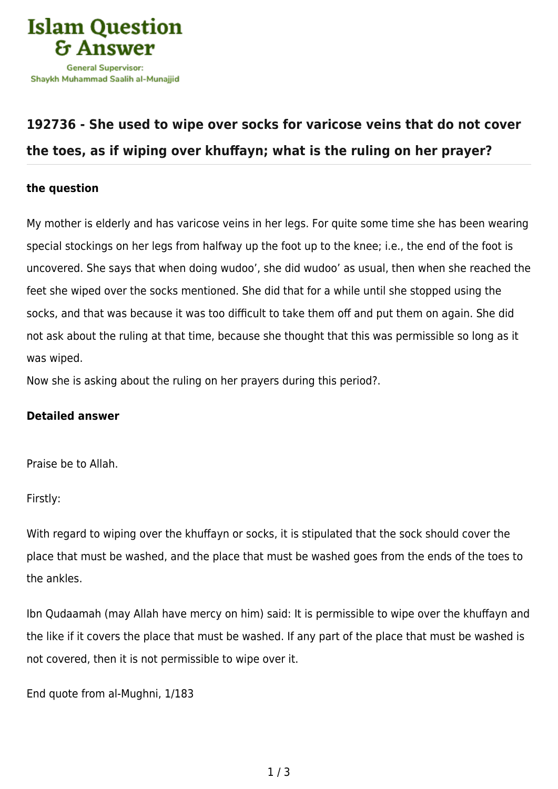

## **[192736 - She used to wipe over socks for varicose veins that do not cover](https://islamqa.com/en/answers/192736/she-used-to-wipe-over-socks-for-varicose-veins-that-do-not-cover-the-toes-as-if-wiping-over-khuffayn-what-is-the-ruling-on-her-prayer) [the toes, as if wiping over khuffayn; what is the ruling on her prayer?](https://islamqa.com/en/answers/192736/she-used-to-wipe-over-socks-for-varicose-veins-that-do-not-cover-the-toes-as-if-wiping-over-khuffayn-what-is-the-ruling-on-her-prayer)**

## **the question**

My mother is elderly and has varicose veins in her legs. For quite some time she has been wearing special stockings on her legs from halfway up the foot up to the knee; i.e., the end of the foot is uncovered. She says that when doing wudoo', she did wudoo' as usual, then when she reached the feet she wiped over the socks mentioned. She did that for a while until she stopped using the socks, and that was because it was too difficult to take them off and put them on again. She did not ask about the ruling at that time, because she thought that this was permissible so long as it was wiped.

Now she is asking about the ruling on her prayers during this period?.

## **Detailed answer**

Praise be to Allah.

Firstly:

With regard to wiping over the khuffayn or socks, it is stipulated that the sock should cover the place that must be washed, and the place that must be washed goes from the ends of the toes to the ankles.

Ibn Qudaamah (may Allah have mercy on him) said: It is permissible to wipe over the khuffayn and the like if it covers the place that must be washed. If any part of the place that must be washed is not covered, then it is not permissible to wipe over it.

End quote from al-Mughni, 1/183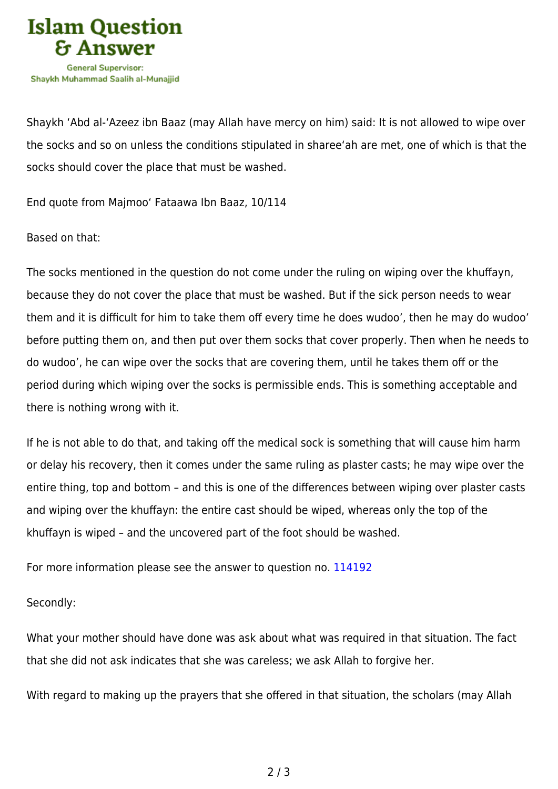

Shaykh 'Abd al-'Azeez ibn Baaz (may Allah have mercy on him) said: It is not allowed to wipe over the socks and so on unless the conditions stipulated in sharee'ah are met, one of which is that the socks should cover the place that must be washed.

End quote from Majmoo' Fataawa Ibn Baaz, 10/114

Based on that:

The socks mentioned in the question do not come under the ruling on wiping over the khuffayn, because they do not cover the place that must be washed. But if the sick person needs to wear them and it is difficult for him to take them off every time he does wudoo', then he may do wudoo' before putting them on, and then put over them socks that cover properly. Then when he needs to do wudoo', he can wipe over the socks that are covering them, until he takes them off or the period during which wiping over the socks is permissible ends. This is something acceptable and there is nothing wrong with it.

If he is not able to do that, and taking off the medical sock is something that will cause him harm or delay his recovery, then it comes under the same ruling as plaster casts; he may wipe over the entire thing, top and bottom – and this is one of the differences between wiping over plaster casts and wiping over the khuffayn: the entire cast should be wiped, whereas only the top of the khuffayn is wiped – and the uncovered part of the foot should be washed.

For more information please see the answer to question no. [114192](https://islamqa.com/en/answers/114192)

Secondly:

What your mother should have done was ask about what was required in that situation. The fact that she did not ask indicates that she was careless; we ask Allah to forgive her.

With regard to making up the prayers that she offered in that situation, the scholars (may Allah